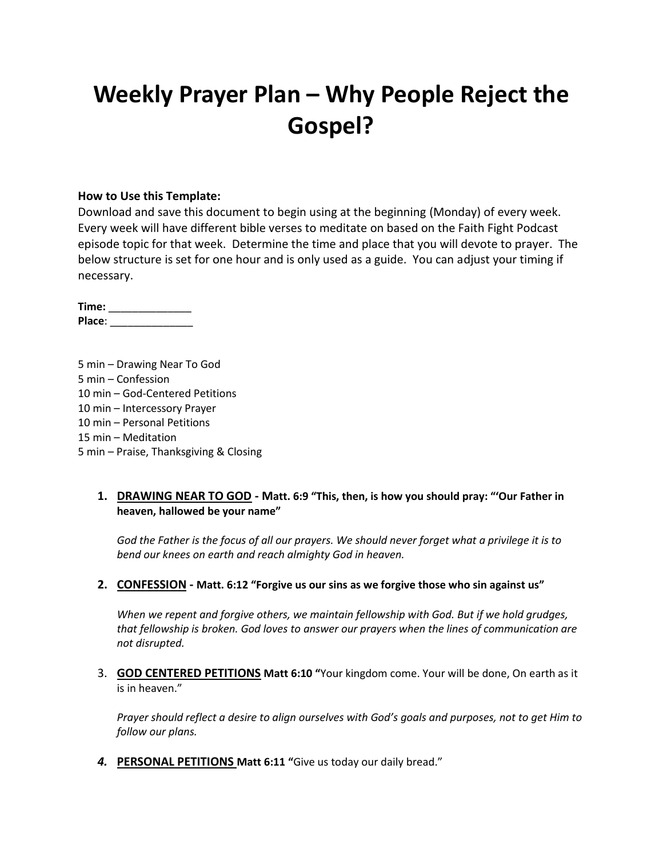# **Weekly Prayer Plan – Why People Reject the Gospel?**

#### **How to Use this Template:**

Download and save this document to begin using at the beginning (Monday) of every week. Every week will have different bible verses to meditate on based on the Faith Fight Podcast episode topic for that week. Determine the time and place that you will devote to prayer. The below structure is set for one hour and is only used as a guide. You can adjust your timing if necessary.

**Time:** \_\_\_\_\_\_\_\_\_\_\_\_\_\_ **Place**: \_\_\_\_\_\_\_\_\_\_\_\_\_\_

5 min – Drawing Near To God 5 min – Confession 10 min – God-Centered Petitions 10 min – Intercessory Prayer 10 min – Personal Petitions 15 min – Meditation 5 min – Praise, Thanksgiving & Closing

### **1. DRAWING NEAR TO GOD - Matt. 6:9 "This, then, is how you should pray: "'Our Father in heaven, hallowed be your name"**

*God the Father is the focus of all our prayers. We should never forget what a privilege it is to bend our knees on earth and reach almighty God in heaven.*

#### **2. CONFESSION - Matt. 6:12 "Forgive us our sins as we forgive those who sin against us"**

*When we repent and forgive others, we maintain fellowship with God. But if we hold grudges, that fellowship is broken. God loves to answer our prayers when the lines of communication are not disrupted.*

3. **GOD CENTERED PETITIONS Matt 6:10 "**Your kingdom come. Your will be done, On earth as it is in heaven."

*Prayer should reflect a desire to align ourselves with God's goals and purposes, not to get Him to follow our plans.*

*4.* **PERSONAL PETITIONS Matt 6:11 "**Give us today our daily bread."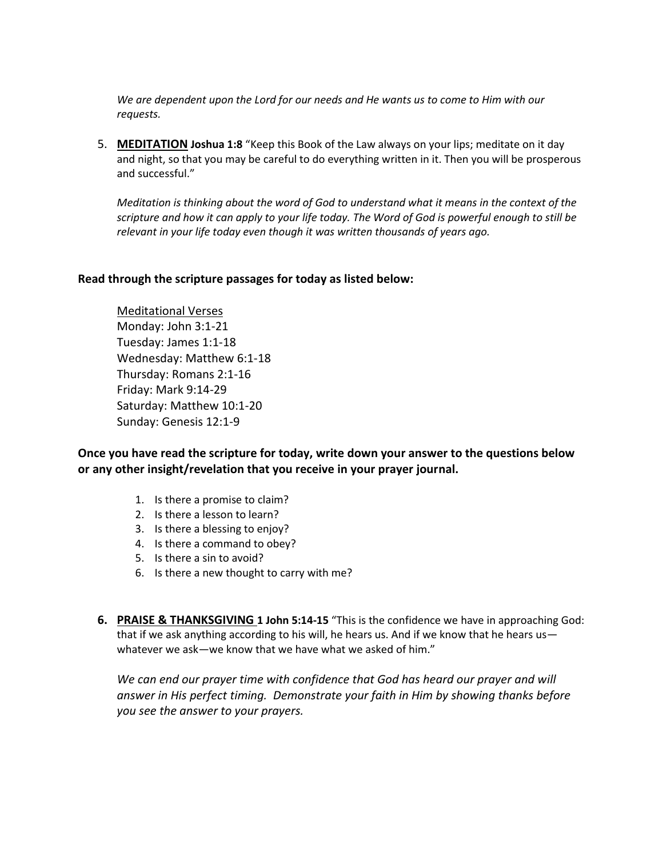*We are dependent upon the Lord for our needs and He wants us to come to Him with our requests.*

5. **MEDITATION Joshua 1:8** "Keep this Book of the Law always on your lips; meditate on it day and night, so that you may be careful to do everything written in it. Then you will be prosperous and successful."

*Meditation is thinking about the word of God to understand what it means in the context of the scripture and how it can apply to your life today. The Word of God is powerful enough to still be relevant in your life today even though it was written thousands of years ago.*

#### **Read through the scripture passages for today as listed below:**

Meditational Verses Monday: John 3:1-21 Tuesday: James 1:1-18 Wednesday: Matthew 6:1-18 Thursday: Romans 2:1-16 Friday: Mark 9:14-29 Saturday: Matthew 10:1-20 Sunday: Genesis 12:1-9

**Once you have read the scripture for today, write down your answer to the questions below or any other insight/revelation that you receive in your prayer journal.** 

- 1. Is there a promise to claim?
- 2. Is there a lesson to learn?
- 3. Is there a blessing to enjoy?
- 4. Is there a command to obey?
- 5. Is there a sin to avoid?
- 6. Is there a new thought to carry with me?
- **6. PRAISE & THANKSGIVING 1 John 5:14-15** "This is the confidence we have in approaching God: that if we ask anything according to his will, he hears us. And if we know that he hears us whatever we ask—we know that we have what we asked of him."

*We can end our prayer time with confidence that God has heard our prayer and will answer in His perfect timing. Demonstrate your faith in Him by showing thanks before you see the answer to your prayers.*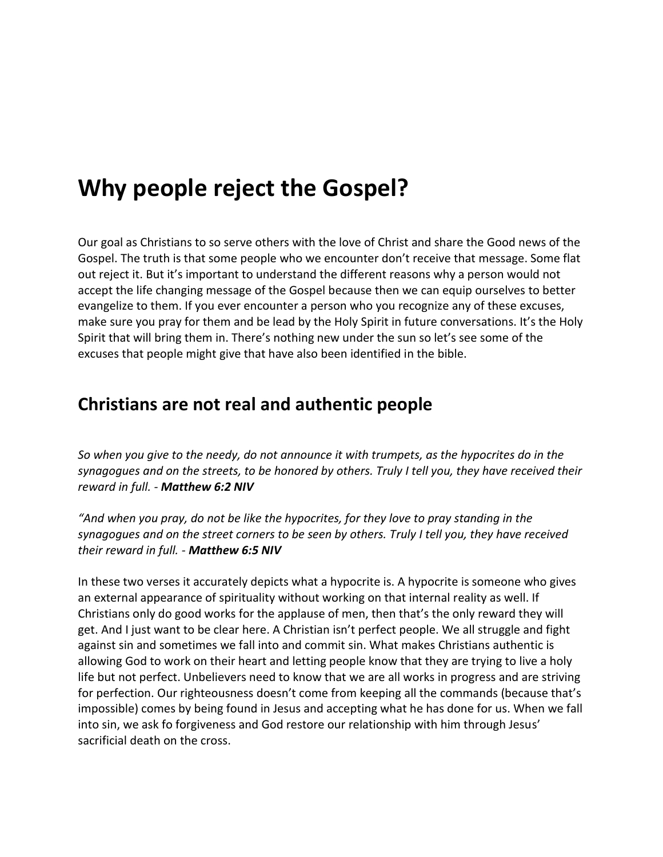# **Why people reject the Gospel?**

Our goal as Christians to so serve others with the love of Christ and share the Good news of the Gospel. The truth is that some people who we encounter don't receive that message. Some flat out reject it. But it's important to understand the different reasons why a person would not accept the life changing message of the Gospel because then we can equip ourselves to better evangelize to them. If you ever encounter a person who you recognize any of these excuses, make sure you pray for them and be lead by the Holy Spirit in future conversations. It's the Holy Spirit that will bring them in. There's nothing new under the sun so let's see some of the excuses that people might give that have also been identified in the bible.

## **Christians are not real and authentic people**

*So when you give to the needy, do not announce it with trumpets, as the hypocrites do in the synagogues and on the streets, to be honored by others. Truly I tell you, they have received their reward in full. - Matthew 6:2 NIV*

*"And when you pray, do not be like the hypocrites, for they love to pray standing in the synagogues and on the street corners to be seen by others. Truly I tell you, they have received their reward in full. - Matthew 6:5 NIV*

In these two verses it accurately depicts what a hypocrite is. A hypocrite is someone who gives an external appearance of spirituality without working on that internal reality as well. If Christians only do good works for the applause of men, then that's the only reward they will get. And I just want to be clear here. A Christian isn't perfect people. We all struggle and fight against sin and sometimes we fall into and commit sin. What makes Christians authentic is allowing God to work on their heart and letting people know that they are trying to live a holy life but not perfect. Unbelievers need to know that we are all works in progress and are striving for perfection. Our righteousness doesn't come from keeping all the commands (because that's impossible) comes by being found in Jesus and accepting what he has done for us. When we fall into sin, we ask fo forgiveness and God restore our relationship with him through Jesus' sacrificial death on the cross.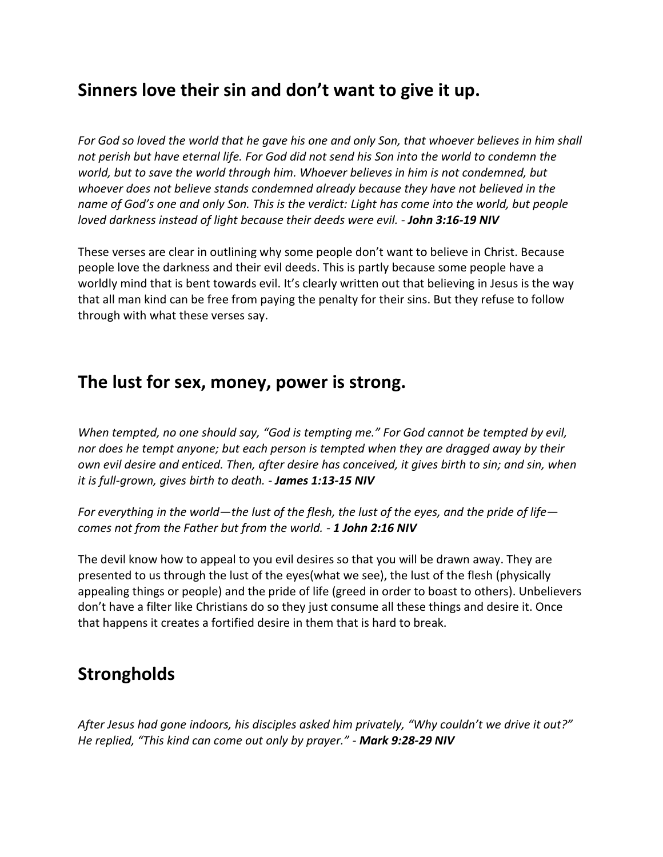## **Sinners love their sin and don't want to give it up.**

*For God so loved the world that he gave his one and only Son, that whoever believes in him shall not perish but have eternal life. For God did not send his Son into the world to condemn the world, but to save the world through him. Whoever believes in him is not condemned, but whoever does not believe stands condemned already because they have not believed in the name of God's one and only Son. This is the verdict: Light has come into the world, but people loved darkness instead of light because their deeds were evil. - John 3:16-19 NIV*

These verses are clear in outlining why some people don't want to believe in Christ. Because people love the darkness and their evil deeds. This is partly because some people have a worldly mind that is bent towards evil. It's clearly written out that believing in Jesus is the way that all man kind can be free from paying the penalty for their sins. But they refuse to follow through with what these verses say.

### **The lust for sex, money, power is strong.**

*When tempted, no one should say, "God is tempting me." For God cannot be tempted by evil, nor does he tempt anyone; but each person is tempted when they are dragged away by their own evil desire and enticed. Then, after desire has conceived, it gives birth to sin; and sin, when it is full-grown, gives birth to death. - James 1:13-15 NIV*

*For everything in the world—the lust of the flesh, the lust of the eyes, and the pride of life comes not from the Father but from the world. - 1 John 2:16 NIV*

The devil know how to appeal to you evil desires so that you will be drawn away. They are presented to us through the lust of the eyes(what we see), the lust of the flesh (physically appealing things or people) and the pride of life (greed in order to boast to others). Unbelievers don't have a filter like Christians do so they just consume all these things and desire it. Once that happens it creates a fortified desire in them that is hard to break.

## **Strongholds**

*After Jesus had gone indoors, his disciples asked him privately, "Why couldn't we drive it out?" He replied, "This kind can come out only by prayer." - Mark 9:28-29 NIV*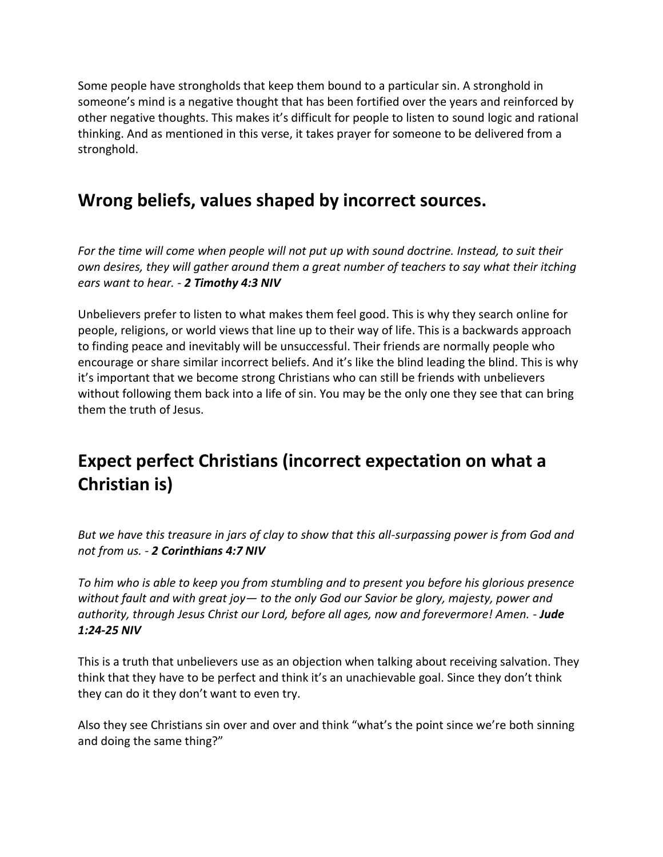Some people have strongholds that keep them bound to a particular sin. A stronghold in someone's mind is a negative thought that has been fortified over the years and reinforced by other negative thoughts. This makes it's difficult for people to listen to sound logic and rational thinking. And as mentioned in this verse, it takes prayer for someone to be delivered from a stronghold.

# **Wrong beliefs, values shaped by incorrect sources.**

*For the time will come when people will not put up with sound doctrine. Instead, to suit their own desires, they will gather around them a great number of teachers to say what their itching ears want to hear. - 2 Timothy 4:3 NIV*

Unbelievers prefer to listen to what makes them feel good. This is why they search online for people, religions, or world views that line up to their way of life. This is a backwards approach to finding peace and inevitably will be unsuccessful. Their friends are normally people who encourage or share similar incorrect beliefs. And it's like the blind leading the blind. This is why it's important that we become strong Christians who can still be friends with unbelievers without following them back into a life of sin. You may be the only one they see that can bring them the truth of Jesus.

# **Expect perfect Christians (incorrect expectation on what a Christian is)**

*But we have this treasure in jars of clay to show that this all-surpassing power is from God and not from us. - 2 Corinthians 4:7 NIV*

*To him who is able to keep you from stumbling and to present you before his glorious presence without fault and with great joy— to the only God our Savior be glory, majesty, power and authority, through Jesus Christ our Lord, before all ages, now and forevermore! Amen. - Jude 1:24-25 NIV*

This is a truth that unbelievers use as an objection when talking about receiving salvation. They think that they have to be perfect and think it's an unachievable goal. Since they don't think they can do it they don't want to even try.

Also they see Christians sin over and over and think "what's the point since we're both sinning and doing the same thing?"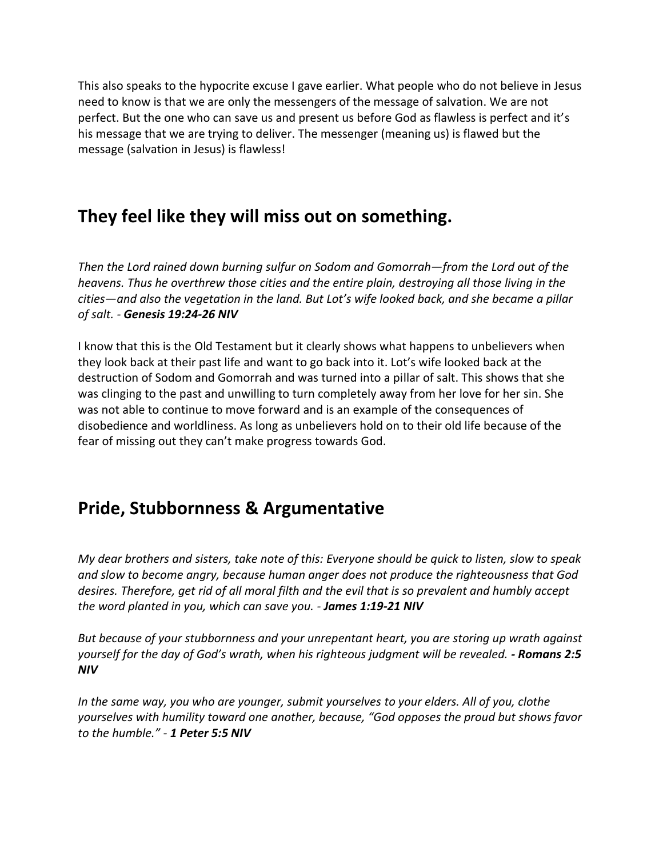This also speaks to the hypocrite excuse I gave earlier. What people who do not believe in Jesus need to know is that we are only the messengers of the message of salvation. We are not perfect. But the one who can save us and present us before God as flawless is perfect and it's his message that we are trying to deliver. The messenger (meaning us) is flawed but the message (salvation in Jesus) is flawless!

# **They feel like they will miss out on something.**

*Then the Lord rained down burning sulfur on Sodom and Gomorrah—from the Lord out of the heavens. Thus he overthrew those cities and the entire plain, destroying all those living in the cities—and also the vegetation in the land. But Lot's wife looked back, and she became a pillar of salt. - Genesis 19:24-26 NIV*

I know that this is the Old Testament but it clearly shows what happens to unbelievers when they look back at their past life and want to go back into it. Lot's wife looked back at the destruction of Sodom and Gomorrah and was turned into a pillar of salt. This shows that she was clinging to the past and unwilling to turn completely away from her love for her sin. She was not able to continue to move forward and is an example of the consequences of disobedience and worldliness. As long as unbelievers hold on to their old life because of the fear of missing out they can't make progress towards God.

# **Pride, Stubbornness & Argumentative**

*My dear brothers and sisters, take note of this: Everyone should be quick to listen, slow to speak and slow to become angry, because human anger does not produce the righteousness that God desires. Therefore, get rid of all moral filth and the evil that is so prevalent and humbly accept the word planted in you, which can save you. - James 1:19-21 NIV*

*But because of your stubbornness and your unrepentant heart, you are storing up wrath against yourself for the day of God's wrath, when his righteous judgment will be revealed. - Romans 2:5 NIV*

*In the same way, you who are younger, submit yourselves to your elders. All of you, clothe yourselves with humility toward one another, because, "God opposes the proud but shows favor to the humble." - 1 Peter 5:5 NIV*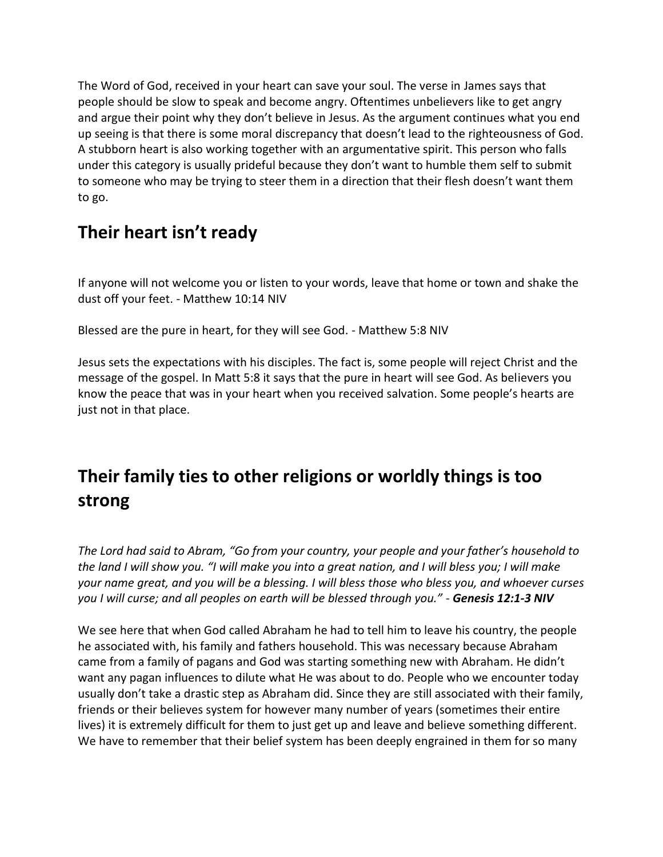The Word of God, received in your heart can save your soul. The verse in James says that people should be slow to speak and become angry. Oftentimes unbelievers like to get angry and argue their point why they don't believe in Jesus. As the argument continues what you end up seeing is that there is some moral discrepancy that doesn't lead to the righteousness of God. A stubborn heart is also working together with an argumentative spirit. This person who falls under this category is usually prideful because they don't want to humble them self to submit to someone who may be trying to steer them in a direction that their flesh doesn't want them to go.

# **Their heart isn't ready**

If anyone will not welcome you or listen to your words, leave that home or town and shake the dust off your feet. - Matthew 10:14 NIV

Blessed are the pure in heart, for they will see God. - Matthew 5:8 NIV

Jesus sets the expectations with his disciples. The fact is, some people will reject Christ and the message of the gospel. In Matt 5:8 it says that the pure in heart will see God. As believers you know the peace that was in your heart when you received salvation. Some people's hearts are just not in that place.

# **Their family ties to other religions or worldly things is too strong**

*The Lord had said to Abram, "Go from your country, your people and your father's household to the land I will show you. "I will make you into a great nation, and I will bless you; I will make your name great, and you will be a blessing. I will bless those who bless you, and whoever curses you I will curse; and all peoples on earth will be blessed through you." - Genesis 12:1-3 NIV*

We see here that when God called Abraham he had to tell him to leave his country, the people he associated with, his family and fathers household. This was necessary because Abraham came from a family of pagans and God was starting something new with Abraham. He didn't want any pagan influences to dilute what He was about to do. People who we encounter today usually don't take a drastic step as Abraham did. Since they are still associated with their family, friends or their believes system for however many number of years (sometimes their entire lives) it is extremely difficult for them to just get up and leave and believe something different. We have to remember that their belief system has been deeply engrained in them for so many